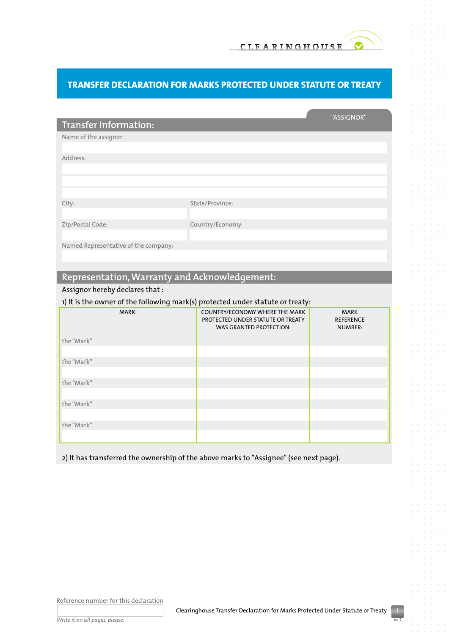## **Transfer Declaration for Marks Protected Under Statute or Treaty**

|                                                                                |                                                                     | "ASSIGNOR"                         |  |
|--------------------------------------------------------------------------------|---------------------------------------------------------------------|------------------------------------|--|
| <b>Transfer Information:</b>                                                   |                                                                     |                                    |  |
| Name of the assignor:                                                          |                                                                     |                                    |  |
|                                                                                |                                                                     |                                    |  |
| Address:                                                                       |                                                                     |                                    |  |
|                                                                                |                                                                     |                                    |  |
|                                                                                |                                                                     |                                    |  |
|                                                                                |                                                                     |                                    |  |
| City:                                                                          | State/Province:                                                     |                                    |  |
|                                                                                |                                                                     |                                    |  |
| Zip/Postal Code:                                                               | Country/Economy:                                                    |                                    |  |
|                                                                                |                                                                     |                                    |  |
| Named Representative of the company:                                           |                                                                     |                                    |  |
|                                                                                |                                                                     |                                    |  |
|                                                                                |                                                                     |                                    |  |
| Representation, Warranty and Acknowledgement:                                  |                                                                     |                                    |  |
| Assignor hereby declares that:                                                 |                                                                     |                                    |  |
| 1) It is the owner of the following mark(s) protected under statute or treaty: |                                                                     |                                    |  |
| MARK:                                                                          | COUNTRY/ECONOMY WHERE THE MARK                                      | <b>MARK</b>                        |  |
|                                                                                | PROTECTED UNDER STATUTE OR TREATY<br><b>WAS GRANTED PROTECTION:</b> | <b>REFERENCE</b><br><b>NUMBER:</b> |  |
|                                                                                |                                                                     |                                    |  |
| the "Mark"                                                                     |                                                                     |                                    |  |

2) It has transferred the ownership of the above marks to "Assignee" (see next page).

Reference number for this declaration

*Write it on all pages, please.*

the "Mark"

the "Mark"

the "Mark"

the "Mark"